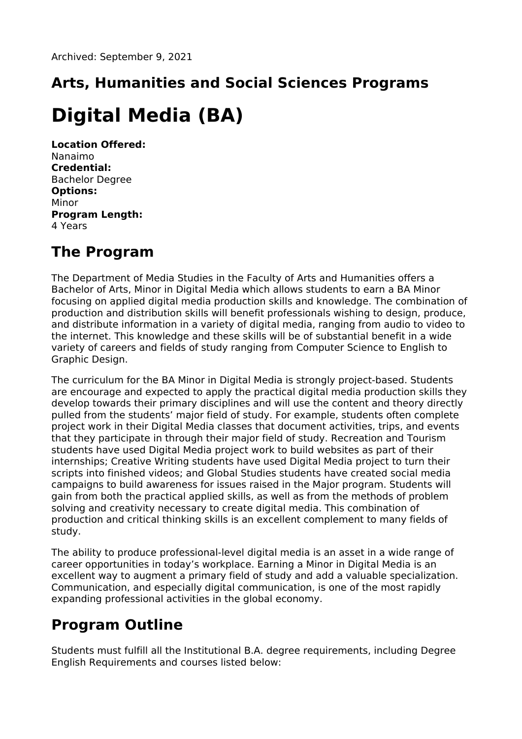## **Arts, Humanities and Social Sciences Programs**

## **Digital Media (BA)**

**Location Offered:** Nanaimo **Credential:** Bachelor Degree **Options:** Minor **Program Length:** 4 Years

## **The Program**

The Department of Media Studies in the Faculty of Arts and Humanities offers a Bachelor of Arts, Minor in Digital Media which allows students to earn a BA Minor focusing on applied digital media production skills and knowledge. The combination of production and distribution skills will benefit professionals wishing to design, produce, and distribute information in a variety of digital media, ranging from audio to video to the internet. This knowledge and these skills will be of substantial benefit in a wide variety of careers and fields of study ranging from Computer Science to English to Graphic Design.

The curriculum for the BA Minor in Digital Media is strongly project-based. Students are encourage and expected to apply the practical digital media production skills they develop towards their primary disciplines and will use the content and theory directly pulled from the students' major field of study. For example, students often complete project work in their Digital Media classes that document activities, trips, and events that they participate in through their major field of study. Recreation and Tourism students have used Digital Media project work to build websites as part of their internships; Creative Writing students have used Digital Media project to turn their scripts into finished videos; and Global Studies students have created social media campaigns to build awareness for issues raised in the Major program. Students will gain from both the practical applied skills, as well as from the methods of problem solving and creativity necessary to create digital media. This combination of production and critical thinking skills is an excellent complement to many fields of study.

The ability to produce professional-level digital media is an asset in a wide range of career opportunities in today's workplace. Earning a Minor in Digital Media is an excellent way to augment a primary field of study and add a valuable specialization. Communication, and especially digital communication, is one of the most rapidly expanding professional activities in the global economy.

## **Program Outline**

Students must fulfill all the Institutional B.A. degree requirements, including Degree English Requirements and courses listed below: